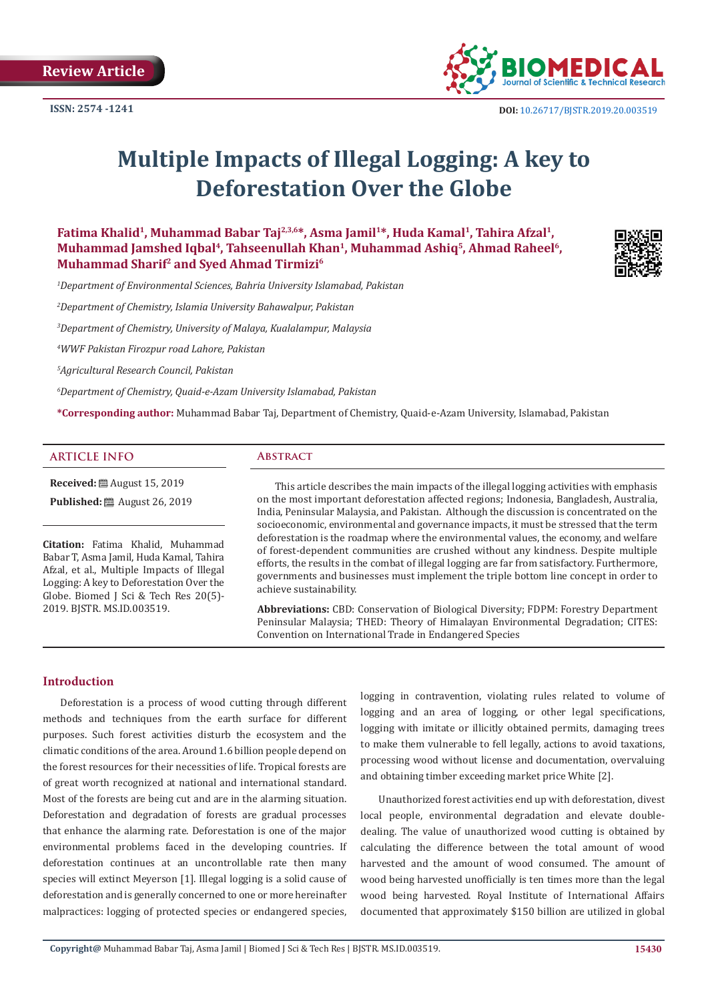

# **Multiple Impacts of Illegal Logging: A key to Deforestation Over the Globe**

Fatima Khalid<sup>1</sup>, Muhammad Babar Taj<sup>2,3,6\*</sup>, Asma Jamil<sup>1\*</sup>, Huda Kamal<sup>1</sup>, Tahira Afzal<sup>1</sup>, Muhammad Jamshed Iqbal<sup>4</sup>, Tahseenullah Khan<sup>1</sup>, Muhammad Ashiq<sup>5</sup>, Ahmad Raheel<sup>6</sup>, **Muhammad Sharif2 and Syed Ahmad Tirmizi6**

*1 Department of Environmental Sciences, Bahria University Islamabad, Pakistan*

*2 Department of Chemistry, Islamia University Bahawalpur, Pakistan* 

*3 Department of Chemistry, University of Malaya, Kualalampur, Malaysia* 

*4 WWF Pakistan Firozpur road Lahore, Pakistan* 

*5 Agricultural Research Council, Pakistan* 

*6 Department of Chemistry, Quaid-e-Azam University Islamabad, Pakistan*

**\*Corresponding author:** Muhammad Babar Taj, Department of Chemistry, Quaid-e-Azam University, Islamabad, Pakistan

#### **ARTICLE INFO Abstract**

**Received:** ■ August 15, 2019 **Published:** ■ August 26, 2019

**Citation:** Fatima Khalid, Muhammad Babar T, Asma Jamil, Huda Kamal, Tahira Afzal, et al., Multiple Impacts of Illegal Logging: A key to Deforestation Over the Globe. Biomed J Sci & Tech Res 20(5)- 2019. BJSTR. MS.ID.003519.

This article describes the main impacts of the illegal logging activities with emphasis on the most important deforestation affected regions; Indonesia, Bangladesh, Australia, India, Peninsular Malaysia, and Pakistan. Although the discussion is concentrated on the socioeconomic, environmental and governance impacts, it must be stressed that the term deforestation is the roadmap where the environmental values, the economy, and welfare of forest-dependent communities are crushed without any kindness. Despite multiple efforts, the results in the combat of illegal logging are far from satisfactory. Furthermore, governments and businesses must implement the triple bottom line concept in order to achieve sustainability.

**Abbreviations:** CBD: Conservation of Biological Diversity; FDPM: Forestry Department Peninsular Malaysia; THED: Theory of Himalayan Environmental Degradation; CITES: Convention on International Trade in Endangered Species

# **Introduction**

Deforestation is a process of wood cutting through different methods and techniques from the earth surface for different purposes. Such forest activities disturb the ecosystem and the climatic conditions of the area. Around 1.6 billion people depend on the forest resources for their necessities of life. Tropical forests are of great worth recognized at national and international standard. Most of the forests are being cut and are in the alarming situation. Deforestation and degradation of forests are gradual processes that enhance the alarming rate. Deforestation is one of the major environmental problems faced in the developing countries. If deforestation continues at an uncontrollable rate then many species will extinct Meyerson [1]. Illegal logging is a solid cause of deforestation and is generally concerned to one or more hereinafter malpractices: logging of protected species or endangered species,

logging in contravention, violating rules related to volume of logging and an area of logging, or other legal specifications, logging with imitate or illicitly obtained permits, damaging trees to make them vulnerable to fell legally, actions to avoid taxations, processing wood without license and documentation, overvaluing and obtaining timber exceeding market price White [2].

Unauthorized forest activities end up with deforestation, divest local people, environmental degradation and elevate doubledealing. The value of unauthorized wood cutting is obtained by calculating the difference between the total amount of wood harvested and the amount of wood consumed. The amount of wood being harvested unofficially is ten times more than the legal wood being harvested. Royal Institute of International Affairs documented that approximately \$150 billion are utilized in global

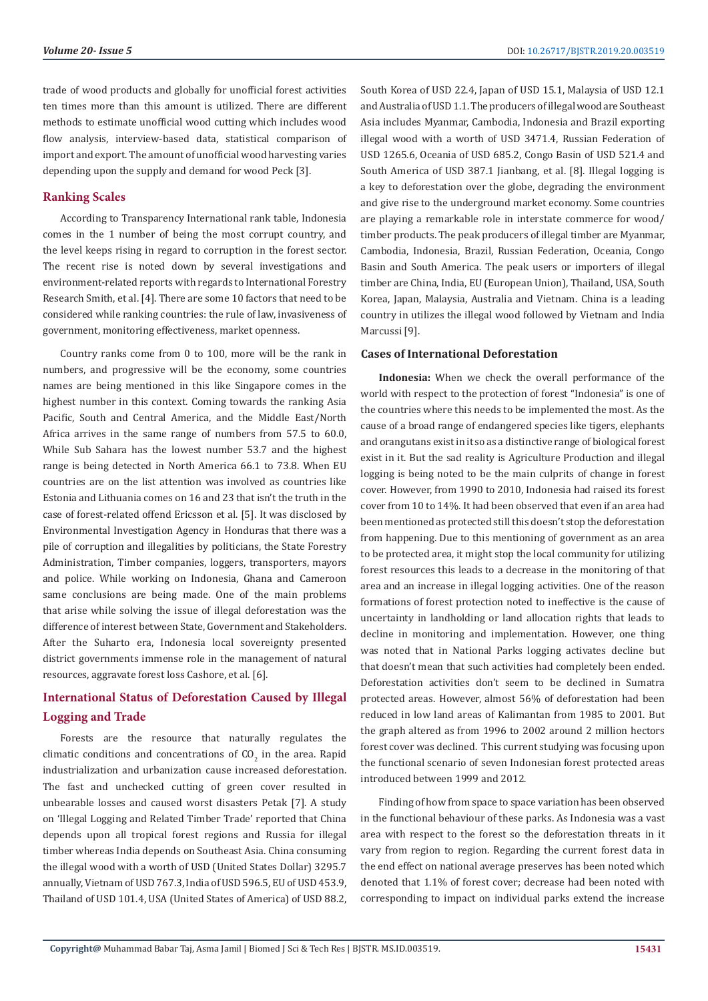trade of wood products and globally for unofficial forest activities ten times more than this amount is utilized. There are different methods to estimate unofficial wood cutting which includes wood flow analysis, interview-based data, statistical comparison of import and export. The amount of unofficial wood harvesting varies depending upon the supply and demand for wood Peck [3].

# **Ranking Scales**

According to Transparency International rank table, Indonesia comes in the 1 number of being the most corrupt country, and the level keeps rising in regard to corruption in the forest sector. The recent rise is noted down by several investigations and environment-related reports with regards to International Forestry Research Smith, et al. [4]. There are some 10 factors that need to be considered while ranking countries: the rule of law, invasiveness of government, monitoring effectiveness, market openness.

Country ranks come from 0 to 100, more will be the rank in numbers, and progressive will be the economy, some countries names are being mentioned in this like Singapore comes in the highest number in this context. Coming towards the ranking Asia Pacific, South and Central America, and the Middle East/North Africa arrives in the same range of numbers from 57.5 to 60.0, While Sub Sahara has the lowest number 53.7 and the highest range is being detected in North America 66.1 to 73.8. When EU countries are on the list attention was involved as countries like Estonia and Lithuania comes on 16 and 23 that isn't the truth in the case of forest-related offend Ericsson et al. [5]. It was disclosed by Environmental Investigation Agency in Honduras that there was a pile of corruption and illegalities by politicians, the State Forestry Administration, Timber companies, loggers, transporters, mayors and police. While working on Indonesia, Ghana and Cameroon same conclusions are being made. One of the main problems that arise while solving the issue of illegal deforestation was the difference of interest between State, Government and Stakeholders. After the Suharto era, Indonesia local sovereignty presented district governments immense role in the management of natural resources, aggravate forest loss Cashore, et al. [6].

# **International Status of Deforestation Caused by Illegal Logging and Trade**

Forests are the resource that naturally regulates the climatic conditions and concentrations of  $CO_2$  in the area. Rapid industrialization and urbanization cause increased deforestation. The fast and unchecked cutting of green cover resulted in unbearable losses and caused worst disasters Petak [7]. A study on 'Illegal Logging and Related Timber Trade' reported that China depends upon all tropical forest regions and Russia for illegal timber whereas India depends on Southeast Asia. China consuming the illegal wood with a worth of USD (United States Dollar) 3295.7 annually, Vietnam of USD 767.3, India of USD 596.5, EU of USD 453.9, Thailand of USD 101.4, USA (United States of America) of USD 88.2, South Korea of USD 22.4, Japan of USD 15.1, Malaysia of USD 12.1 and Australia of USD 1.1. The producers of illegal wood are Southeast Asia includes Myanmar, Cambodia, Indonesia and Brazil exporting illegal wood with a worth of USD 3471.4, Russian Federation of USD 1265.6, Oceania of USD 685.2, Congo Basin of USD 521.4 and South America of USD 387.1 Jianbang, et al. [8]. Illegal logging is a key to deforestation over the globe, degrading the environment and give rise to the underground market economy. Some countries are playing a remarkable role in interstate commerce for wood/ timber products. The peak producers of illegal timber are Myanmar, Cambodia, Indonesia, Brazil, Russian Federation, Oceania, Congo Basin and South America. The peak users or importers of illegal timber are China, India, EU (European Union), Thailand, USA, South Korea, Japan, Malaysia, Australia and Vietnam. China is a leading country in utilizes the illegal wood followed by Vietnam and India Marcussi [9].

#### **Cases of International Deforestation**

**Indonesia:** When we check the overall performance of the world with respect to the protection of forest "Indonesia" is one of the countries where this needs to be implemented the most. As the cause of a broad range of endangered species like tigers, elephants and orangutans exist in it so as a distinctive range of biological forest exist in it. But the sad reality is Agriculture Production and illegal logging is being noted to be the main culprits of change in forest cover. However, from 1990 to 2010, Indonesia had raised its forest cover from 10 to 14%. It had been observed that even if an area had been mentioned as protected still this doesn't stop the deforestation from happening. Due to this mentioning of government as an area to be protected area, it might stop the local community for utilizing forest resources this leads to a decrease in the monitoring of that area and an increase in illegal logging activities. One of the reason formations of forest protection noted to ineffective is the cause of uncertainty in landholding or land allocation rights that leads to decline in monitoring and implementation. However, one thing was noted that in National Parks logging activates decline but that doesn't mean that such activities had completely been ended. Deforestation activities don't seem to be declined in Sumatra protected areas. However, almost 56% of deforestation had been reduced in low land areas of Kalimantan from 1985 to 2001. But the graph altered as from 1996 to 2002 around 2 million hectors forest cover was declined. This current studying was focusing upon the functional scenario of seven Indonesian forest protected areas introduced between 1999 and 2012.

Finding of how from space to space variation has been observed in the functional behaviour of these parks. As Indonesia was a vast area with respect to the forest so the deforestation threats in it vary from region to region. Regarding the current forest data in the end effect on national average preserves has been noted which denoted that 1.1% of forest cover; decrease had been noted with corresponding to impact on individual parks extend the increase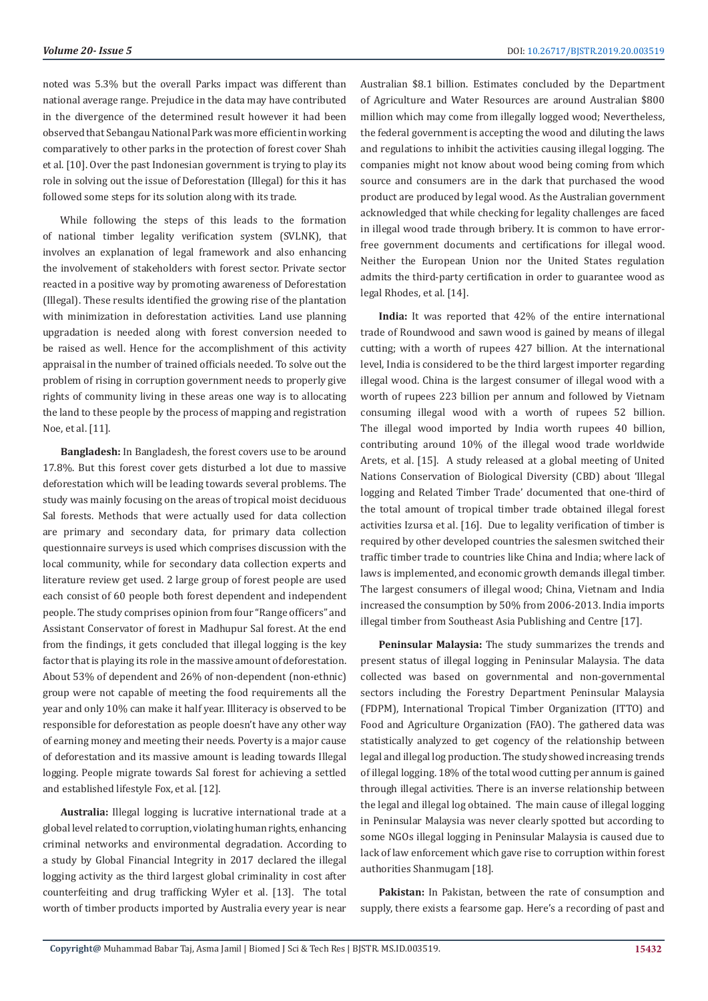noted was 5.3% but the overall Parks impact was different than national average range. Prejudice in the data may have contributed in the divergence of the determined result however it had been observed that Sebangau National Park was more efficient in working comparatively to other parks in the protection of forest cover Shah et al. [10]. Over the past Indonesian government is trying to play its role in solving out the issue of Deforestation (Illegal) for this it has followed some steps for its solution along with its trade.

While following the steps of this leads to the formation of national timber legality verification system (SVLNK), that involves an explanation of legal framework and also enhancing the involvement of stakeholders with forest sector. Private sector reacted in a positive way by promoting awareness of Deforestation (Illegal). These results identified the growing rise of the plantation with minimization in deforestation activities. Land use planning upgradation is needed along with forest conversion needed to be raised as well. Hence for the accomplishment of this activity appraisal in the number of trained officials needed. To solve out the problem of rising in corruption government needs to properly give rights of community living in these areas one way is to allocating the land to these people by the process of mapping and registration Noe, et al. [11].

**Bangladesh:** In Bangladesh, the forest covers use to be around 17.8%. But this forest cover gets disturbed a lot due to massive deforestation which will be leading towards several problems. The study was mainly focusing on the areas of tropical moist deciduous Sal forests. Methods that were actually used for data collection are primary and secondary data, for primary data collection questionnaire surveys is used which comprises discussion with the local community, while for secondary data collection experts and literature review get used. 2 large group of forest people are used each consist of 60 people both forest dependent and independent people. The study comprises opinion from four "Range officers" and Assistant Conservator of forest in Madhupur Sal forest. At the end from the findings, it gets concluded that illegal logging is the key factor that is playing its role in the massive amount of deforestation. About 53% of dependent and 26% of non-dependent (non-ethnic) group were not capable of meeting the food requirements all the year and only 10% can make it half year. Illiteracy is observed to be responsible for deforestation as people doesn't have any other way of earning money and meeting their needs. Poverty is a major cause of deforestation and its massive amount is leading towards Illegal logging. People migrate towards Sal forest for achieving a settled and established lifestyle Fox, et al. [12].

**Australia:** Illegal logging is lucrative international trade at a global level related to corruption, violating human rights, enhancing criminal networks and environmental degradation. According to a study by Global Financial Integrity in 2017 declared the illegal logging activity as the third largest global criminality in cost after counterfeiting and drug trafficking Wyler et al. [13]. The total worth of timber products imported by Australia every year is near

Australian \$8.1 billion. Estimates concluded by the Department of Agriculture and Water Resources are around Australian \$800 million which may come from illegally logged wood; Nevertheless, the federal government is accepting the wood and diluting the laws and regulations to inhibit the activities causing illegal logging. The companies might not know about wood being coming from which source and consumers are in the dark that purchased the wood product are produced by legal wood. As the Australian government acknowledged that while checking for legality challenges are faced in illegal wood trade through bribery. It is common to have errorfree government documents and certifications for illegal wood. Neither the European Union nor the United States regulation admits the third-party certification in order to guarantee wood as legal Rhodes, et al. [14].

**India:** It was reported that 42% of the entire international trade of Roundwood and sawn wood is gained by means of illegal cutting; with a worth of rupees 427 billion. At the international level, India is considered to be the third largest importer regarding illegal wood. China is the largest consumer of illegal wood with a worth of rupees 223 billion per annum and followed by Vietnam consuming illegal wood with a worth of rupees 52 billion. The illegal wood imported by India worth rupees 40 billion, contributing around 10% of the illegal wood trade worldwide Arets, et al. [15]. A study released at a global meeting of United Nations Conservation of Biological Diversity (CBD) about 'Illegal logging and Related Timber Trade' documented that one-third of the total amount of tropical timber trade obtained illegal forest activities Izursa et al. [16]. Due to legality verification of timber is required by other developed countries the salesmen switched their traffic timber trade to countries like China and India; where lack of laws is implemented, and economic growth demands illegal timber. The largest consumers of illegal wood; China, Vietnam and India increased the consumption by 50% from 2006-2013. India imports illegal timber from Southeast Asia Publishing and Centre [17].

**Peninsular Malaysia:** The study summarizes the trends and present status of illegal logging in Peninsular Malaysia. The data collected was based on governmental and non-governmental sectors including the Forestry Department Peninsular Malaysia (FDPM), International Tropical Timber Organization (ITTO) and Food and Agriculture Organization (FAO). The gathered data was statistically analyzed to get cogency of the relationship between legal and illegal log production. The study showed increasing trends of illegal logging. 18% of the total wood cutting per annum is gained through illegal activities. There is an inverse relationship between the legal and illegal log obtained. The main cause of illegal logging in Peninsular Malaysia was never clearly spotted but according to some NGOs illegal logging in Peninsular Malaysia is caused due to lack of law enforcement which gave rise to corruption within forest authorities Shanmugam [18].

**Pakistan:** In Pakistan, between the rate of consumption and supply, there exists a fearsome gap. Here's a recording of past and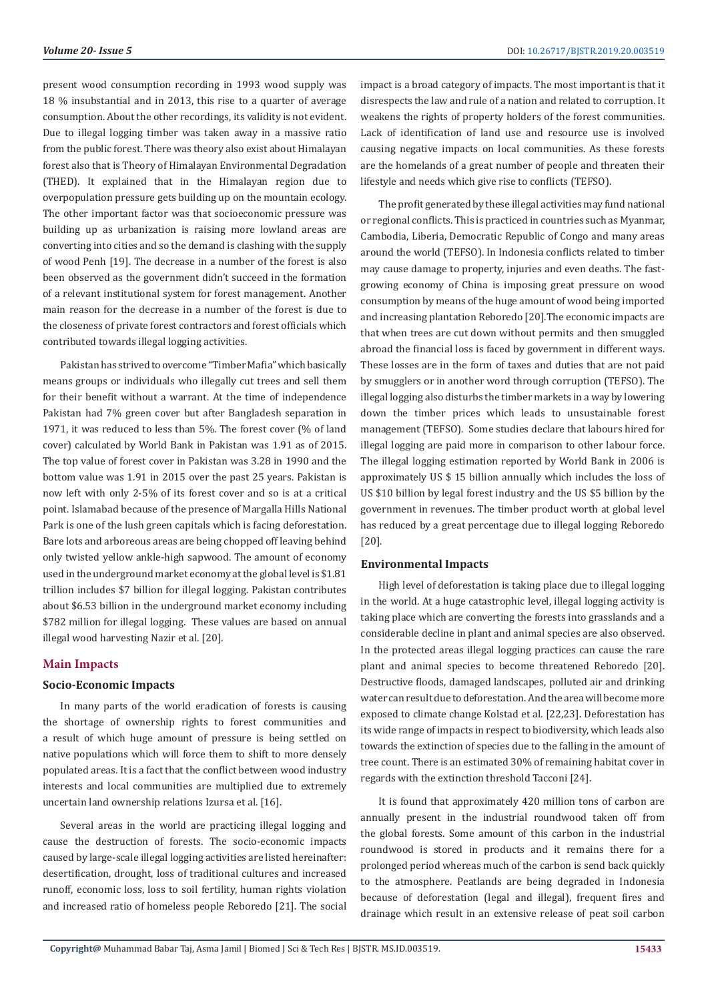present wood consumption recording in 1993 wood supply was 18 % insubstantial and in 2013, this rise to a quarter of average consumption. About the other recordings, its validity is not evident. Due to illegal logging timber was taken away in a massive ratio from the public forest. There was theory also exist about Himalayan forest also that is Theory of Himalayan Environmental Degradation (THED). It explained that in the Himalayan region due to overpopulation pressure gets building up on the mountain ecology. The other important factor was that socioeconomic pressure was building up as urbanization is raising more lowland areas are converting into cities and so the demand is clashing with the supply of wood Penh [19]. The decrease in a number of the forest is also been observed as the government didn't succeed in the formation of a relevant institutional system for forest management. Another main reason for the decrease in a number of the forest is due to the closeness of private forest contractors and forest officials which contributed towards illegal logging activities.

Pakistan has strived to overcome "Timber Mafia" which basically means groups or individuals who illegally cut trees and sell them for their benefit without a warrant. At the time of independence Pakistan had 7% green cover but after Bangladesh separation in 1971, it was reduced to less than 5%. The forest cover (% of land cover) calculated by World Bank in Pakistan was 1.91 as of 2015. The top value of forest cover in Pakistan was 3.28 in 1990 and the bottom value was 1.91 in 2015 over the past 25 years. Pakistan is now left with only 2-5% of its forest cover and so is at a critical point. Islamabad because of the presence of Margalla Hills National Park is one of the lush green capitals which is facing deforestation. Bare lots and arboreous areas are being chopped off leaving behind only twisted yellow ankle-high sapwood. The amount of economy used in the underground market economy at the global level is \$1.81 trillion includes \$7 billion for illegal logging. Pakistan contributes about \$6.53 billion in the underground market economy including \$782 million for illegal logging. These values are based on annual illegal wood harvesting Nazir et al. [20].

# **Main Impacts**

# **Socio-Economic Impacts**

In many parts of the world eradication of forests is causing the shortage of ownership rights to forest communities and a result of which huge amount of pressure is being settled on native populations which will force them to shift to more densely populated areas. It is a fact that the conflict between wood industry interests and local communities are multiplied due to extremely uncertain land ownership relations Izursa et al. [16].

Several areas in the world are practicing illegal logging and cause the destruction of forests. The socio-economic impacts caused by large-scale illegal logging activities are listed hereinafter: desertification, drought, loss of traditional cultures and increased runoff, economic loss, loss to soil fertility, human rights violation and increased ratio of homeless people Reboredo [21]. The social impact is a broad category of impacts. The most important is that it disrespects the law and rule of a nation and related to corruption. It weakens the rights of property holders of the forest communities. Lack of identification of land use and resource use is involved causing negative impacts on local communities. As these forests are the homelands of a great number of people and threaten their lifestyle and needs which give rise to conflicts (TEFSO).

The profit generated by these illegal activities may fund national or regional conflicts. This is practiced in countries such as Myanmar, Cambodia, Liberia, Democratic Republic of Congo and many areas around the world (TEFSO). In Indonesia conflicts related to timber may cause damage to property, injuries and even deaths. The fastgrowing economy of China is imposing great pressure on wood consumption by means of the huge amount of wood being imported and increasing plantation Reboredo [20].The economic impacts are that when trees are cut down without permits and then smuggled abroad the financial loss is faced by government in different ways. These losses are in the form of taxes and duties that are not paid by smugglers or in another word through corruption (TEFSO). The illegal logging also disturbs the timber markets in a way by lowering down the timber prices which leads to unsustainable forest management (TEFSO). Some studies declare that labours hired for illegal logging are paid more in comparison to other labour force. The illegal logging estimation reported by World Bank in 2006 is approximately US \$ 15 billion annually which includes the loss of US \$10 billion by legal forest industry and the US \$5 billion by the government in revenues. The timber product worth at global level has reduced by a great percentage due to illegal logging Reboredo [20].

# **Environmental Impacts**

High level of deforestation is taking place due to illegal logging in the world. At a huge catastrophic level, illegal logging activity is taking place which are converting the forests into grasslands and a considerable decline in plant and animal species are also observed. In the protected areas illegal logging practices can cause the rare plant and animal species to become threatened Reboredo [20]. Destructive floods, damaged landscapes, polluted air and drinking water can result due to deforestation. And the area will become more exposed to climate change Kolstad et al. [22,23]. Deforestation has its wide range of impacts in respect to biodiversity, which leads also towards the extinction of species due to the falling in the amount of tree count. There is an estimated 30% of remaining habitat cover in regards with the extinction threshold Tacconi [24].

It is found that approximately 420 million tons of carbon are annually present in the industrial roundwood taken off from the global forests. Some amount of this carbon in the industrial roundwood is stored in products and it remains there for a prolonged period whereas much of the carbon is send back quickly to the atmosphere. Peatlands are being degraded in Indonesia because of deforestation (legal and illegal), frequent fires and drainage which result in an extensive release of peat soil carbon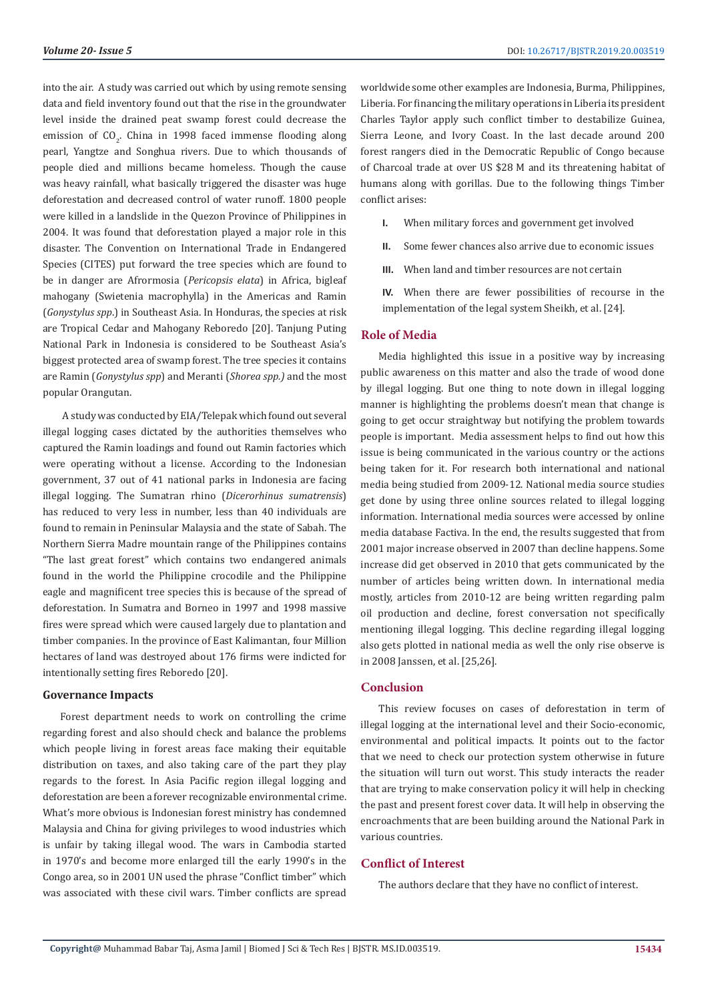into the air. A study was carried out which by using remote sensing data and field inventory found out that the rise in the groundwater level inside the drained peat swamp forest could decrease the emission of  $CO<sub>2</sub>$ . China in 1998 faced immense flooding along pearl, Yangtze and Songhua rivers. Due to which thousands of people died and millions became homeless. Though the cause was heavy rainfall, what basically triggered the disaster was huge deforestation and decreased control of water runoff. 1800 people were killed in a landslide in the Quezon Province of Philippines in 2004. It was found that deforestation played a major role in this disaster. The Convention on International Trade in Endangered Species (CITES) put forward the tree species which are found to be in danger are Afrormosia (*Pericopsis elata*) in Africa, bigleaf mahogany (Swietenia macrophylla) in the Americas and Ramin (*Gonystylus spp*.) in Southeast Asia. In Honduras, the species at risk are Tropical Cedar and Mahogany Reboredo [20]. Tanjung Puting National Park in Indonesia is considered to be Southeast Asia's biggest protected area of swamp forest. The tree species it contains are Ramin (*Gonystylus spp*) and Meranti (*Shorea spp.)* and the most popular Orangutan.

 A study was conducted by EIA/Telepak which found out several illegal logging cases dictated by the authorities themselves who captured the Ramin loadings and found out Ramin factories which were operating without a license. According to the Indonesian government, 37 out of 41 national parks in Indonesia are facing illegal logging. The Sumatran rhino (*Dicerorhinus sumatrensis*) has reduced to very less in number, less than 40 individuals are found to remain in Peninsular Malaysia and the state of Sabah. The Northern Sierra Madre mountain range of the Philippines contains "The last great forest" which contains two endangered animals found in the world the Philippine crocodile and the Philippine eagle and magnificent tree species this is because of the spread of deforestation. In Sumatra and Borneo in 1997 and 1998 massive fires were spread which were caused largely due to plantation and timber companies. In the province of East Kalimantan, four Million hectares of land was destroyed about 176 firms were indicted for intentionally setting fires Reboredo [20].

#### **Governance Impacts**

Forest department needs to work on controlling the crime regarding forest and also should check and balance the problems which people living in forest areas face making their equitable distribution on taxes, and also taking care of the part they play regards to the forest. In Asia Pacific region illegal logging and deforestation are been a forever recognizable environmental crime. What's more obvious is Indonesian forest ministry has condemned Malaysia and China for giving privileges to wood industries which is unfair by taking illegal wood. The wars in Cambodia started in 1970's and become more enlarged till the early 1990's in the Congo area, so in 2001 UN used the phrase "Conflict timber" which was associated with these civil wars. Timber conflicts are spread

worldwide some other examples are Indonesia, Burma, Philippines, Liberia. For financing the military operations in Liberia its president Charles Taylor apply such conflict timber to destabilize Guinea, Sierra Leone, and Ivory Coast. In the last decade around 200 forest rangers died in the Democratic Republic of Congo because of Charcoal trade at over US \$28 M and its threatening habitat of humans along with gorillas. Due to the following things Timber conflict arises:

- **I.** When military forces and government get involved
- **II.** Some fewer chances also arrive due to economic issues
- **III.** When land and timber resources are not certain

**IV.** When there are fewer possibilities of recourse in the implementation of the legal system Sheikh, et al. [24].

#### **Role of Media**

Media highlighted this issue in a positive way by increasing public awareness on this matter and also the trade of wood done by illegal logging. But one thing to note down in illegal logging manner is highlighting the problems doesn't mean that change is going to get occur straightway but notifying the problem towards people is important. Media assessment helps to find out how this issue is being communicated in the various country or the actions being taken for it. For research both international and national media being studied from 2009-12. National media source studies get done by using three online sources related to illegal logging information. International media sources were accessed by online media database Factiva. In the end, the results suggested that from 2001 major increase observed in 2007 than decline happens. Some increase did get observed in 2010 that gets communicated by the number of articles being written down. In international media mostly, articles from 2010-12 are being written regarding palm oil production and decline, forest conversation not specifically mentioning illegal logging. This decline regarding illegal logging also gets plotted in national media as well the only rise observe is in 2008 Janssen, et al. [25,26].

### **Conclusion**

This review focuses on cases of deforestation in term of illegal logging at the international level and their Socio-economic, environmental and political impacts. It points out to the factor that we need to check our protection system otherwise in future the situation will turn out worst. This study interacts the reader that are trying to make conservation policy it will help in checking the past and present forest cover data. It will help in observing the encroachments that are been building around the National Park in various countries.

### **Conflict of Interest**

The authors declare that they have no conflict of interest.